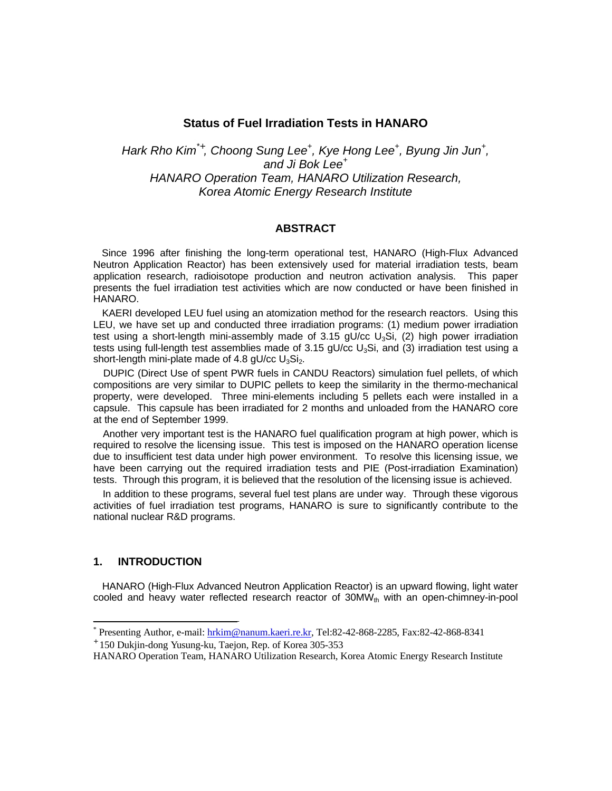# **Status of Fuel Irradiation Tests in HANARO**

*Hark Rho Kim\*<sup>+</sup> , Choong Sung Lee<sup>+</sup> , Kye Hong Lee<sup>+</sup> , Byung Jin Jun<sup>+</sup> , and Ji Bok Lee<sup>+</sup> HANARO Operation Team, HANARO Utilization Research, Korea Atomic Energy Research Institute*

# **ABSTRACT**

 Since 1996 after finishing the long-term operational test, HANARO (High-Flux Advanced Neutron Application Reactor) has been extensively used for material irradiation tests, beam application research, radioisotope production and neutron activation analysis. This paper presents the fuel irradiation test activities which are now conducted or have been finished in HANARO.

 KAERI developed LEU fuel using an atomization method for the research reactors. Using this LEU, we have set up and conducted three irradiation programs: (1) medium power irradiation test using a short-length mini-assembly made of  $3.15$  gU/cc U<sub>3</sub>Si, (2) high power irradiation tests using full-length test assemblies made of  $3.15$  gU/cc U<sub>3</sub>Si, and (3) irradiation test using a short-length mini-plate made of 4.8 gU/cc  $U_3Si_2$ .

 DUPIC (Direct Use of spent PWR fuels in CANDU Reactors) simulation fuel pellets, of which compositions are very similar to DUPIC pellets to keep the similarity in the thermo-mechanical property, were developed. Three mini-elements including 5 pellets each were installed in a capsule. This capsule has been irradiated for 2 months and unloaded from the HANARO core at the end of September 1999.

 Another very important test is the HANARO fuel qualification program at high power, which is required to resolve the licensing issue. This test is imposed on the HANARO operation license due to insufficient test data under high power environment. To resolve this licensing issue, we have been carrying out the required irradiation tests and PIE (Post-irradiation Examination) tests. Through this program, it is believed that the resolution of the licensing issue is achieved.

 In addition to these programs, several fuel test plans are under way. Through these vigorous activities of fuel irradiation test programs, HANARO is sure to significantly contribute to the national nuclear R&D programs.

### **1. INTRODUCTION**

 HANARO (High-Flux Advanced Neutron Application Reactor) is an upward flowing, light water cooled and heavy water reflected research reactor of  $30MW<sub>th</sub>$  with an open-chimney-in-pool

<sup>&</sup>lt;sup>\*</sup> Presenting Author, e-mail: hrkim@nanum.kaeri.re.kr, Tel:82-42-868-2285, Fax:82-42-868-8341

<sup>+</sup> 150 Dukjin-dong Yusung-ku, Taejon, Rep. of Korea 305-353

HANARO Operation Team, HANARO Utilization Research, Korea Atomic Energy Research Institute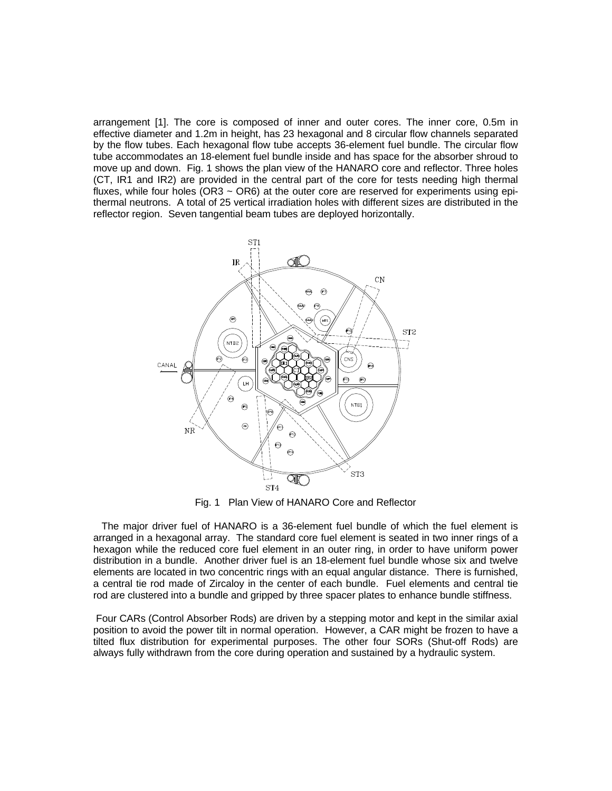arrangement [1]. The core is composed of inner and outer cores. The inner core, 0.5m in effective diameter and 1.2m in height, has 23 hexagonal and 8 circular flow channels separated by the flow tubes. Each hexagonal flow tube accepts 36-element fuel bundle. The circular flow tube accommodates an 18-element fuel bundle inside and has space for the absorber shroud to move up and down. Fig. 1 shows the plan view of the HANARO core and reflector. Three holes (CT, IR1 and IR2) are provided in the central part of the core for tests needing high thermal fluxes, while four holes ( $OR3 \sim OR6$ ) at the outer core are reserved for experiments using epithermal neutrons. A total of 25 vertical irradiation holes with different sizes are distributed in the reflector region. Seven tangential beam tubes are deployed horizontally.



Fig. 1 Plan View of HANARO Core and Reflector

 The major driver fuel of HANARO is a 36-element fuel bundle of which the fuel element is arranged in a hexagonal array. The standard core fuel element is seated in two inner rings of a hexagon while the reduced core fuel element in an outer ring, in order to have uniform power distribution in a bundle. Another driver fuel is an 18-element fuel bundle whose six and twelve elements are located in two concentric rings with an equal angular distance. There is furnished, a central tie rod made of Zircaloy in the center of each bundle. Fuel elements and central tie rod are clustered into a bundle and gripped by three spacer plates to enhance bundle stiffness.

 Four CARs (Control Absorber Rods) are driven by a stepping motor and kept in the similar axial position to avoid the power tilt in normal operation. However, a CAR might be frozen to have a tilted flux distribution for experimental purposes. The other four SORs (Shut-off Rods) are always fully withdrawn from the core during operation and sustained by a hydraulic system.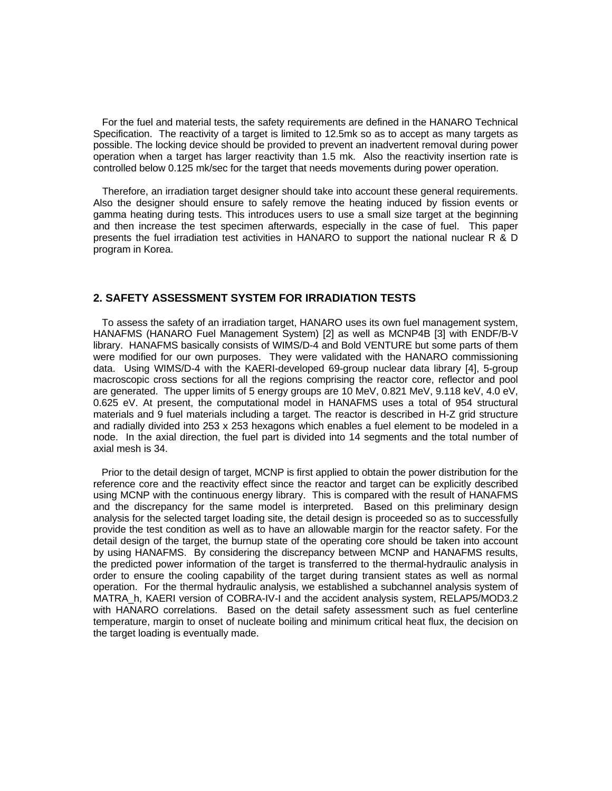For the fuel and material tests, the safety requirements are defined in the HANARO Technical Specification. The reactivity of a target is limited to 12.5mk so as to accept as many targets as possible. The locking device should be provided to prevent an inadvertent removal during power operation when a target has larger reactivity than 1.5 mk. Also the reactivity insertion rate is controlled below 0.125 mk/sec for the target that needs movements during power operation.

 Therefore, an irradiation target designer should take into account these general requirements. Also the designer should ensure to safely remove the heating induced by fission events or gamma heating during tests. This introduces users to use a small size target at the beginning and then increase the test specimen afterwards, especially in the case of fuel. This paper presents the fuel irradiation test activities in HANARO to support the national nuclear R & D program in Korea.

## **2. SAFETY ASSESSMENT SYSTEM FOR IRRADIATION TESTS**

 To assess the safety of an irradiation target, HANARO uses its own fuel management system, HANAFMS (HANARO Fuel Management System) [2] as well as MCNP4B [3] with ENDF/B-V library. HANAFMS basically consists of WIMS/D-4 and Bold VENTURE but some parts of them were modified for our own purposes. They were validated with the HANARO commissioning data. Using WIMS/D-4 with the KAERI-developed 69-group nuclear data library [4], 5-group macroscopic cross sections for all the regions comprising the reactor core, reflector and pool are generated. The upper limits of 5 energy groups are 10 MeV, 0.821 MeV, 9.118 keV, 4.0 eV, 0.625 eV. At present, the computational model in HANAFMS uses a total of 954 structural materials and 9 fuel materials including a target. The reactor is described in H-Z grid structure and radially divided into 253 x 253 hexagons which enables a fuel element to be modeled in a node. In the axial direction, the fuel part is divided into 14 segments and the total number of axial mesh is 34.

 Prior to the detail design of target, MCNP is first applied to obtain the power distribution for the reference core and the reactivity effect since the reactor and target can be explicitly described using MCNP with the continuous energy library. This is compared with the result of HANAFMS and the discrepancy for the same model is interpreted. Based on this preliminary design analysis for the selected target loading site, the detail design is proceeded so as to successfully provide the test condition as well as to have an allowable margin for the reactor safety. For the detail design of the target, the burnup state of the operating core should be taken into account by using HANAFMS. By considering the discrepancy between MCNP and HANAFMS results, the predicted power information of the target is transferred to the thermal-hydraulic analysis in order to ensure the cooling capability of the target during transient states as well as normal operation. For the thermal hydraulic analysis, we established a subchannel analysis system of MATRA h, KAERI version of COBRA-IV-I and the accident analysis system, RELAP5/MOD3.2 with HANARO correlations. Based on the detail safety assessment such as fuel centerline temperature, margin to onset of nucleate boiling and minimum critical heat flux, the decision on the target loading is eventually made.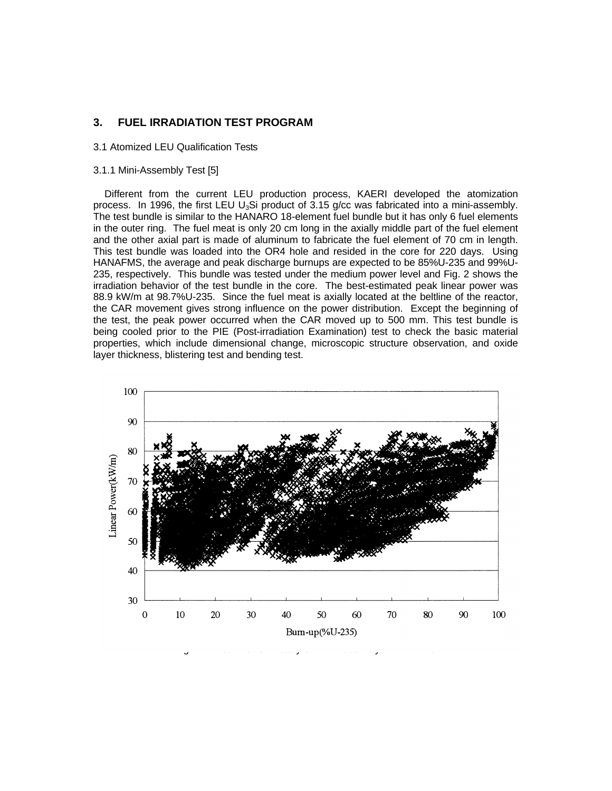# **3. FUEL IRRADIATION TEST PROGRAM**

#### 3.1 Atomized LEU Qualification Tests

#### 3.1.1 Mini-Assembly Test [5]

 Different from the current LEU production process, KAERI developed the atomization process. In 1996, the first LEU U<sub>3</sub>Si product of 3.15 g/cc was fabricated into a mini-assembly. The test bundle is similar to the HANARO 18-element fuel bundle but it has only 6 fuel elements in the outer ring. The fuel meat is only 20 cm long in the axially middle part of the fuel element and the other axial part is made of aluminum to fabricate the fuel element of 70 cm in length. This test bundle was loaded into the OR4 hole and resided in the core for 220 days. Using HANAFMS, the average and peak discharge burnups are expected to be 85%U-235 and 99%U-235, respectively. This bundle was tested under the medium power level and Fig. 2 shows the irradiation behavior of the test bundle in the core. The best-estimated peak linear power was 88.9 kW/m at 98.7%U-235. Since the fuel meat is axially located at the beltline of the reactor, the CAR movement gives strong influence on the power distribution. Except the beginning of the test, the peak power occurred when the CAR moved up to 500 mm. This test bundle is being cooled prior to the PIE (Post-irradiation Examination) test to check the basic material properties, which include dimensional change, microscopic structure observation, and oxide layer thickness, blistering test and bending test.

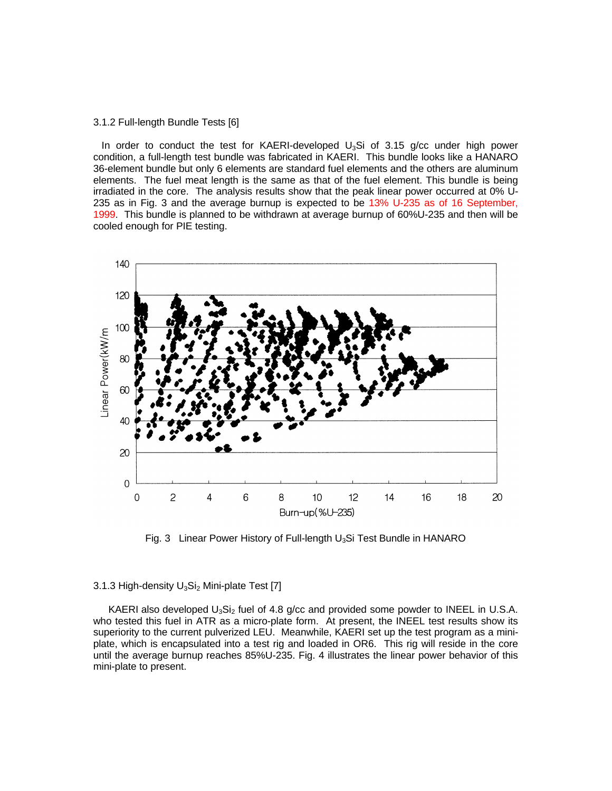#### 3.1.2 Full-length Bundle Tests [6]

In order to conduct the test for KAERI-developed  $U_3Si$  of 3.15 g/cc under high power condition, a full-length test bundle was fabricated in KAERI. This bundle looks like a HANARO 36-element bundle but only 6 elements are standard fuel elements and the others are aluminum elements. The fuel meat length is the same as that of the fuel element. This bundle is being irradiated in the core. The analysis results show that the peak linear power occurred at 0% U-235 as in Fig. 3 and the average burnup is expected to be 13% U-235 as of 16 September, 1999. This bundle is planned to be withdrawn at average burnup of 60%U-235 and then will be cooled enough for PIE testing.



Fig. 3 Linear Power History of Full-length  $U_3S$ i Test Bundle in HANARO

#### 3.1.3 High-density  $U_3Si_2$  Mini-plate Test [7]

KAERI also developed  $U_3Si_2$  fuel of 4.8 g/cc and provided some powder to INEEL in U.S.A. who tested this fuel in ATR as a micro-plate form. At present, the INEEL test results show its superiority to the current pulverized LEU. Meanwhile, KAERI set up the test program as a miniplate, which is encapsulated into a test rig and loaded in OR6. This rig will reside in the core until the average burnup reaches 85%U-235. Fig. 4 illustrates the linear power behavior of this mini-plate to present.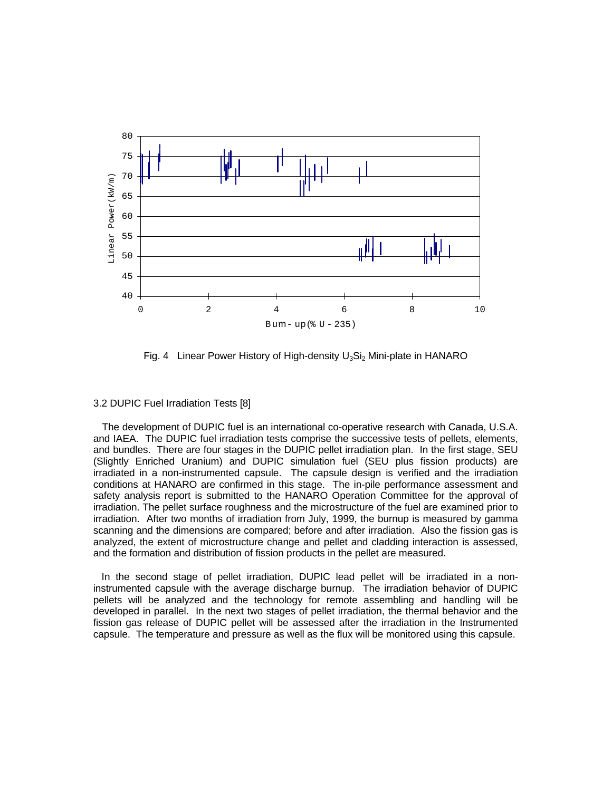

Fig. 4 Linear Power History of High-density  $U_3Si_2$  Mini-plate in HANARO

#### 3.2 DUPIC Fuel Irradiation Tests [8]

 The development of DUPIC fuel is an international co-operative research with Canada, U.S.A. and IAEA. The DUPIC fuel irradiation tests comprise the successive tests of pellets, elements, and bundles. There are four stages in the DUPIC pellet irradiation plan. In the first stage, SEU (Slightly Enriched Uranium) and DUPIC simulation fuel (SEU plus fission products) are irradiated in a non-instrumented capsule. The capsule design is verified and the irradiation conditions at HANARO are confirmed in this stage. The in-pile performance assessment and safety analysis report is submitted to the HANARO Operation Committee for the approval of irradiation. The pellet surface roughness and the microstructure of the fuel are examined prior to irradiation. After two months of irradiation from July, 1999, the burnup is measured by gamma scanning and the dimensions are compared; before and after irradiation. Also the fission gas is analyzed, the extent of microstructure change and pellet and cladding interaction is assessed, and the formation and distribution of fission products in the pellet are measured.

 In the second stage of pellet irradiation, DUPIC lead pellet will be irradiated in a noninstrumented capsule with the average discharge burnup. The irradiation behavior of DUPIC pellets will be analyzed and the technology for remote assembling and handling will be developed in parallel. In the next two stages of pellet irradiation, the thermal behavior and the fission gas release of DUPIC pellet will be assessed after the irradiation in the Instrumented capsule. The temperature and pressure as well as the flux will be monitored using this capsule.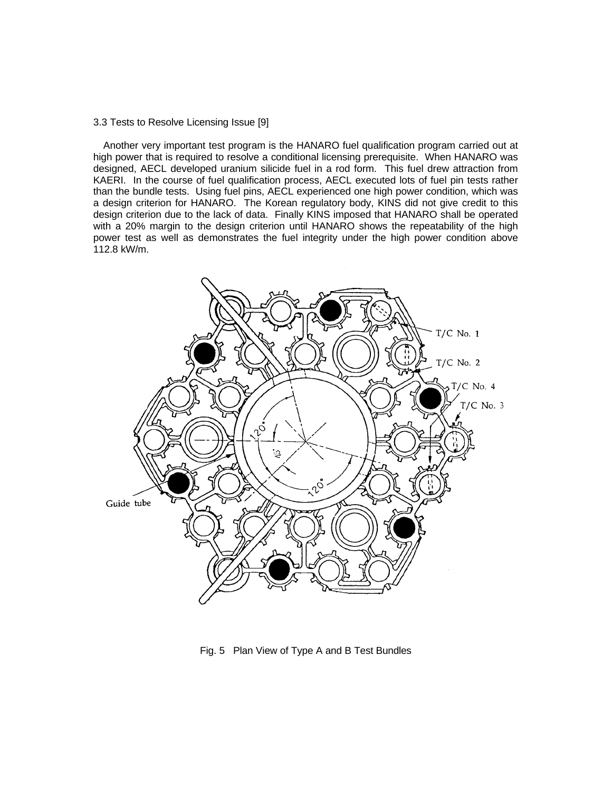#### 3.3 Tests to Resolve Licensing Issue [9]

 Another very important test program is the HANARO fuel qualification program carried out at high power that is required to resolve a conditional licensing prerequisite. When HANARO was designed, AECL developed uranium silicide fuel in a rod form. This fuel drew attraction from KAERI. In the course of fuel qualification process, AECL executed lots of fuel pin tests rather than the bundle tests. Using fuel pins, AECL experienced one high power condition, which was a design criterion for HANARO. The Korean regulatory body, KINS did not give credit to this design criterion due to the lack of data. Finally KINS imposed that HANARO shall be operated with a 20% margin to the design criterion until HANARO shows the repeatability of the high power test as well as demonstrates the fuel integrity under the high power condition above 112.8 kW/m.



Fig. 5 Plan View of Type A and B Test Bundles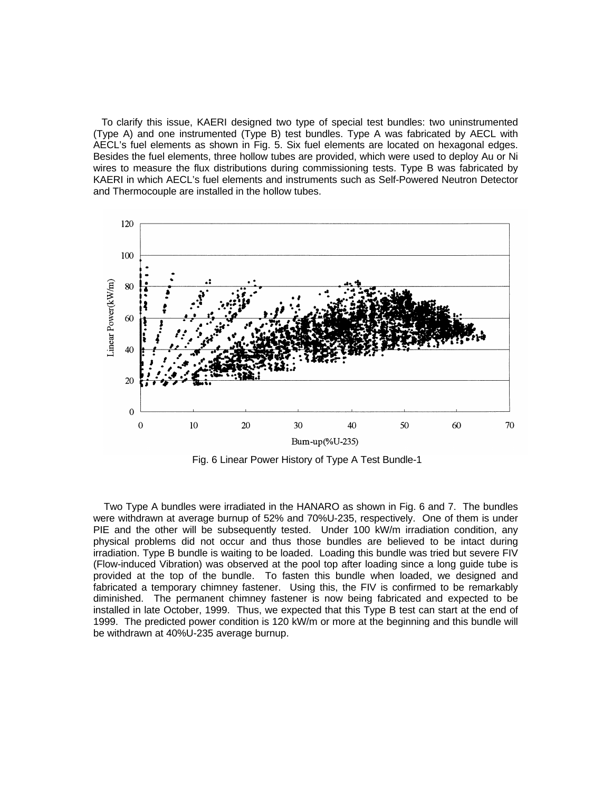To clarify this issue, KAERI designed two type of special test bundles: two uninstrumented (Type A) and one instrumented (Type B) test bundles. Type A was fabricated by AECL with AECL's fuel elements as shown in Fig. 5. Six fuel elements are located on hexagonal edges. Besides the fuel elements, three hollow tubes are provided, which were used to deploy Au or Ni wires to measure the flux distributions during commissioning tests. Type B was fabricated by KAERI in which AECL's fuel elements and instruments such as Self-Powered Neutron Detector and Thermocouple are installed in the hollow tubes.



Fig. 6 Linear Power History of Type A Test Bundle-1

Two Type A bundles were irradiated in the HANARO as shown in Fig. 6 and 7. The bundles were withdrawn at average burnup of 52% and 70%U-235, respectively. One of them is under PIE and the other will be subsequently tested. Under 100 kW/m irradiation condition, any physical problems did not occur and thus those bundles are believed to be intact during irradiation. Type B bundle is waiting to be loaded. Loading this bundle was tried but severe FIV (Flow-induced Vibration) was observed at the pool top after loading since a long guide tube is provided at the top of the bundle. To fasten this bundle when loaded, we designed and fabricated a temporary chimney fastener. Using this, the FIV is confirmed to be remarkably diminished. The permanent chimney fastener is now being fabricated and expected to be installed in late October, 1999. Thus, we expected that this Type B test can start at the end of 1999. The predicted power condition is 120 kW/m or more at the beginning and this bundle will be withdrawn at 40%U-235 average burnup.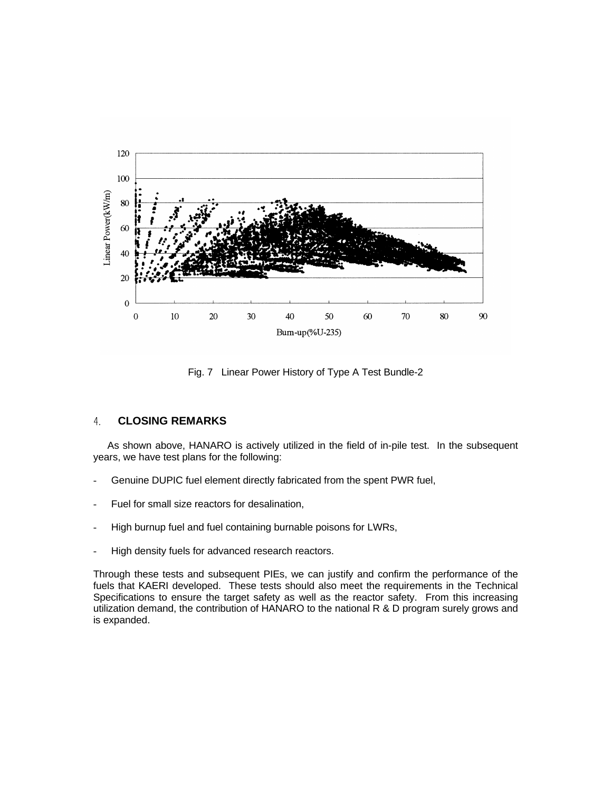

Fig. 7 Linear Power History of Type A Test Bundle-2

#### **CLOSING REMARKS** 4.

As shown above, HANARO is actively utilized in the field of in-pile test. In the subsequent years, we have test plans for the following:

- Genuine DUPIC fuel element directly fabricated from the spent PWR fuel,
- Fuel for small size reactors for desalination,
- High burnup fuel and fuel containing burnable poisons for LWRs,
- High density fuels for advanced research reactors.

Through these tests and subsequent PIEs, we can justify and confirm the performance of the fuels that KAERI developed. These tests should also meet the requirements in the Technical Specifications to ensure the target safety as well as the reactor safety. From this increasing utilization demand, the contribution of HANARO to the national R & D program surely grows and is expanded.